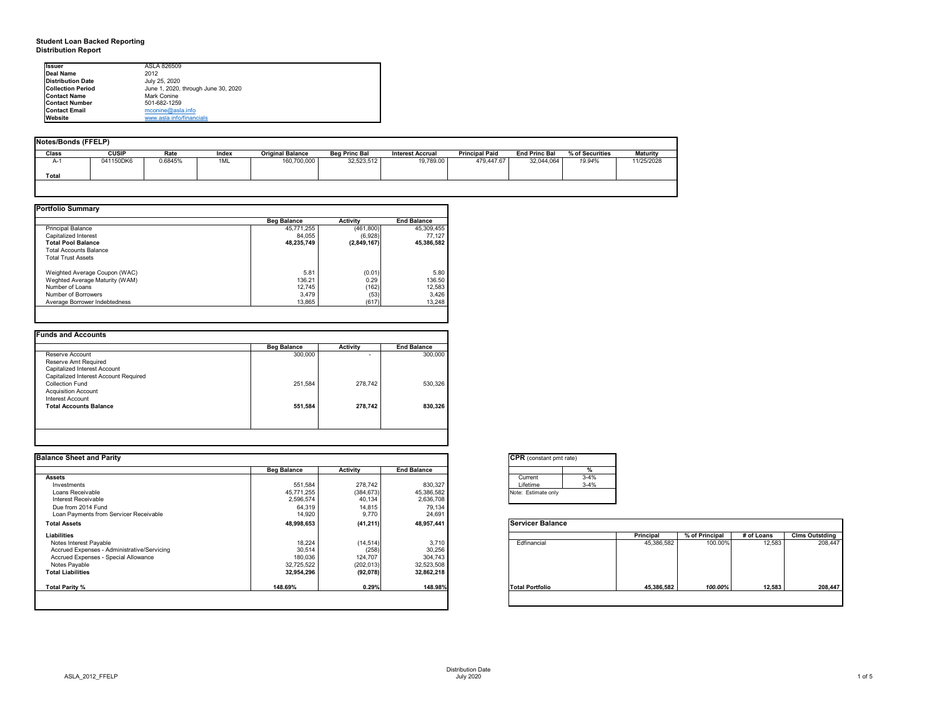## **Student Loan Backed Reporting Distribution Report**

## **Notes/Bonds (FFELP)**

| Notes/Bonds (FFELP) |              |         |       |                         |                      |                         |                       |                      |                 |                 |
|---------------------|--------------|---------|-------|-------------------------|----------------------|-------------------------|-----------------------|----------------------|-----------------|-----------------|
| <b>Class</b>        | <b>CUSIP</b> | Rate    | Index | <b>Original Balance</b> | <b>Beg Princ Bal</b> | <b>Interest Accrual</b> | <b>Principal Paid</b> | <b>End Princ Bal</b> | % of Securities | <b>Maturity</b> |
| $A-1$               | 041150DK6    | 0.6845% | 1ML   | 160,700,000             | 32,523,512           | 19,789.00               | 479,447.67            | 32,044,064           | 19.94%          | 11/25/2028      |
| Total               |              |         |       |                         |                      |                         |                       |                      |                 |                 |
|                     |              |         |       |                         |                      |                         |                       |                      |                 |                 |

| <b>Portfolio Summary</b>       |                    |                 |                    |
|--------------------------------|--------------------|-----------------|--------------------|
|                                | <b>Beg Balance</b> | <b>Activity</b> | <b>End Balance</b> |
| <b>Principal Balance</b>       | 45,771,255         | (461,800)       | 45,309,455         |
| Capitalized Interest           | 84,055             | (6,928)         | 77,127             |
| <b>Total Pool Balance</b>      | 48,235,749         | (2,849,167)     | 45,386,582         |
| <b>Total Accounts Balance</b>  |                    |                 |                    |
| <b>Total Trust Assets</b>      |                    |                 |                    |
| Weighted Average Coupon (WAC)  | 5.81               | (0.01)          | 5.80               |
| Weghted Average Maturity (WAM) | 136.21             | 0.29            | 136.50             |
| Number of Loans                | 12,745             | (162)           | 12,583             |
| Number of Borrowers            | 3,479              | (53)            | 3,426              |
| Average Borrower Indebtedness  | 13,865             | (617)           | 13,248             |
|                                |                    |                 |                    |

|                                       | <b>Beg Balance</b> | <b>Activity</b> | <b>End Balance</b> |
|---------------------------------------|--------------------|-----------------|--------------------|
| Reserve Account                       | 300,000            |                 | 300,000            |
| Reserve Amt Required                  |                    |                 |                    |
| Capitalized Interest Account          |                    |                 |                    |
| Capitalized Interest Account Required |                    |                 |                    |
| <b>Collection Fund</b>                | 251,584            | 278,742         | 530,326            |
| <b>Acquisition Account</b>            |                    |                 |                    |
| <b>Interest Account</b>               |                    |                 |                    |
| <b>Total Accounts Balance</b>         | 551,584            | 278,742         | 830,326            |
|                                       |                    |                 |                    |
|                                       |                    |                 |                    |

| <b>Issuer</b>            | ASLA 826509                         |
|--------------------------|-------------------------------------|
| Deal Name                | 2012                                |
| <b>Distribution Date</b> | July 25, 2020                       |
| <b>Collection Period</b> | June 1, 2020, through June 30, 2020 |
| <b>Contact Name</b>      | Mark Conine                         |
| <b>Contact Number</b>    | 501-682-1259                        |
| <b>Contact Email</b>     | mconine@asla.info                   |
| <b>Website</b>           | www.asla.info/financials            |

| <b>Balance Sheet and Parity</b>             |                    |                 |                    | <b>CPR</b> (constant pmt rate) |          |            |                |            |                       |
|---------------------------------------------|--------------------|-----------------|--------------------|--------------------------------|----------|------------|----------------|------------|-----------------------|
|                                             | <b>Beg Balance</b> | <b>Activity</b> | <b>End Balance</b> |                                |          |            |                |            |                       |
| <b>Assets</b>                               |                    |                 |                    | Current                        | $3 - 4%$ |            |                |            |                       |
| Investments                                 | 551,584            | 278,742         | 830,327            | Lifetime                       | $3 - 4%$ |            |                |            |                       |
| Loans Receivable                            | 45,771,255         | (384, 673)      | 45,386,582         | Note: Estimate only            |          |            |                |            |                       |
| Interest Receivable                         | 2,596,574          | 40,134          | 2,636,708          |                                |          |            |                |            |                       |
| Due from 2014 Fund                          | 64,319             | 14,815          | 79,134             |                                |          |            |                |            |                       |
| Loan Payments from Servicer Receivable      | 14,920             | 9,770           | 24,691             |                                |          |            |                |            |                       |
| <b>Total Assets</b>                         | 48,998,653         | (41, 211)       | 48,957,441         | <b>Servicer Balance</b>        |          |            |                |            |                       |
| Liabilities                                 |                    |                 |                    |                                |          | Principal  | % of Principal | # of Loans | <b>Clms Outstding</b> |
| Notes Interest Payable                      | 18,224             | (14, 514)       | 3,710              | Edfinancial                    |          | 45,386,582 | 100.00%        | 12,583     | 208,447               |
| Accrued Expenses - Administrative/Servicing | 30,514             | (258)           | 30,256             |                                |          |            |                |            |                       |
| Accrued Expenses - Special Allowance        | 180,036            | 124,707         | 304,743            |                                |          |            |                |            |                       |
| Notes Payable                               | 32,725,522         | (202, 013)      | 32,523,508         |                                |          |            |                |            |                       |
| <b>Total Liabilities</b>                    | 32,954,296         | (92,078)        | 32,862,218         |                                |          |            |                |            |                       |
| Total Parity %                              | 148.69%            | 0.29%           | 148.98%            | <b>Total Portfolio</b>         |          | 45,386,582 | 100.00%        | 12,583     | 208,447               |
|                                             |                    |                 |                    |                                |          |            |                |            |                       |

| Note: | F.                                         |
|-------|--------------------------------------------|
|       | $\overline{\text{CPR}}$ (<br>Curr<br>Lifet |



| onstant pmt rate) |          |
|-------------------|----------|
|                   | %        |
| ent               | $3-4%$   |
| me                | $3 - 4%$ |
| timate only       |          |
|                   |          |

|          | <b>Principal</b> | % of Principal | # of Loans | <b>Clms Outstding</b> |
|----------|------------------|----------------|------------|-----------------------|
| ancial   | 45,386,582       | 100.00%        | 12,583     | 208,447               |
| ortfolio | 45,386,582       | 100.00%        | 12,583     | 208,447               |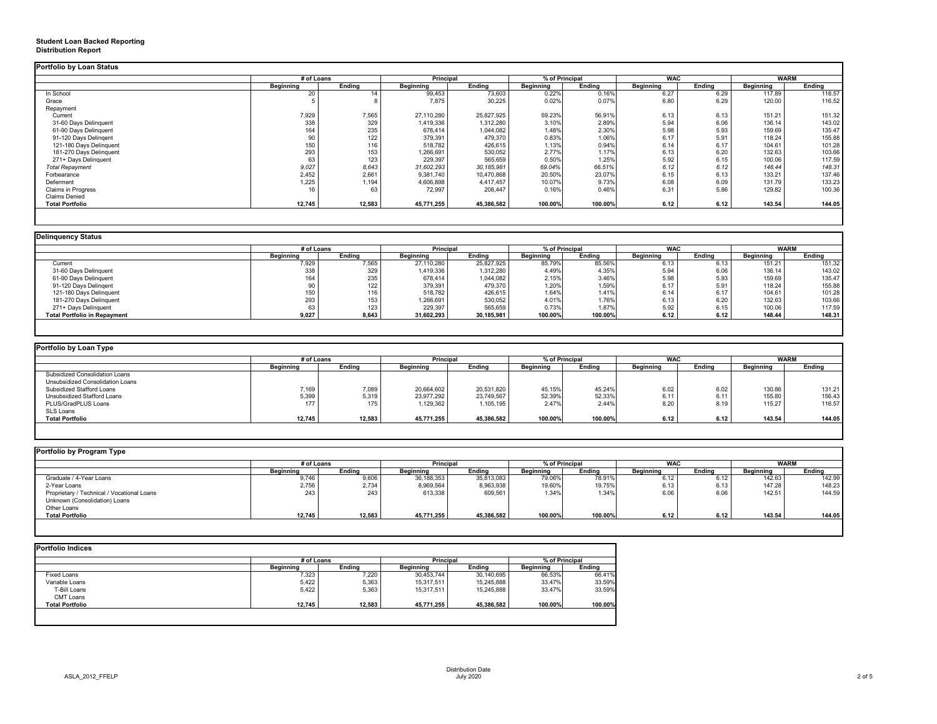## **Student Loan Backed Reporting Distribution Report**

|                           | # of Loans       |               | <b>Principal</b> |               | % of Principal   |               | <b>WAC</b>       |               | <b>WARM</b>      |               |
|---------------------------|------------------|---------------|------------------|---------------|------------------|---------------|------------------|---------------|------------------|---------------|
|                           | <b>Beginning</b> | <b>Ending</b> | <b>Beginning</b> | <b>Ending</b> | <b>Beginning</b> | <b>Ending</b> | <b>Beginning</b> | <b>Ending</b> | <b>Beginning</b> | <b>Ending</b> |
| In School                 | 20               | 14            | 99,453           | 73,603        | 0.22%            | 0.16%         | 6.27             | 6.29          | 117.89           | 118.57        |
| Grace                     |                  |               | 7,875            | 30,225        | 0.02%            | 0.07%         | 6.80             | 6.29          | 120.00           | 116.52        |
| Repayment                 |                  |               |                  |               |                  |               |                  |               |                  |               |
| Current                   | 7,929            | 7,565         | 27,110,280       | 25,827,925    | 59.23%           | 56.91%        | 6.13             | 6.13          | 151.21           | 151.32        |
| 31-60 Days Delinquent     | 338              | 329           | 1,419,336        | 1,312,280     | 3.10%            | 2.89%         | 5.94             | 6.06          | 136.14           | 143.02        |
| 61-90 Days Delinquent     | 164              | 235           | 678,414          | 1,044,082     | 1.48%            | 2.30%         | 5.98             | 5.93          | 159.69           | 135.47        |
| 91-120 Days Delingent     |                  | 122           | 379,391          | 479,370       | 0.83%            | 1.06%         | 6.17             | 5.91          | 118.24           | 155.88        |
| 121-180 Days Delinquent   | 150              | 116           | 518,782          | 426,615       | 1.13%            | 0.94%         | 6.14             | 6.17          | 104.61           | 101.28        |
| 181-270 Days Delinquent   | 293              | 153           | 1,266,691        | 530,052       | 2.77%            | 1.17%         | 6.13             | 6.20          | 132.63           | 103.66        |
| 271+ Days Delinquent      | 63               | 123           | 229,397          | 565,659       | 0.50%            | 1.25%         | 5.92             | 6.15          | 100.06           | 117.59        |
| <b>Total Repayment</b>    | 9,027            | 8,643         | 31,602,293       | 30, 185, 981  | 69.04%           | 66.51%        | 6.12             | 6.12          | 148.44           | 148.31        |
| Forbearance               | 2,452            | 2,661         | 9,381,740        | 10,470,868    | 20.50%           | 23.07%        | 6.15             | 6.13          | 133.21           | 137.46        |
| Deferment                 | 1,225            | 1,194         | 4,606,898        | 4,417,457     | 10.07%           | 9.73%         | 6.08             | 6.09          | 131.79           | 133.23        |
| <b>Claims in Progress</b> | 16               | 63            | 72,997           | 208,447       | 0.16%            | 0.46%         | 6.31             | 5.86          | 129.82           | 100.36        |
| <b>Claims Denied</b>      |                  |               |                  |               |                  |               |                  |               |                  |               |
| <b>Total Portfolio</b>    | 12,745           | 12,583        | 45,771,255       | 45,386,582    | 100.00%          | 100.00%       | 6.12             | 6.12          | 143.54           | 144.05        |

|                                     | # of Loans       |                  | <b>Principal</b> |               | % of Principal   |               | <b>WAC</b>       |               | <b>WARM</b>      |               |
|-------------------------------------|------------------|------------------|------------------|---------------|------------------|---------------|------------------|---------------|------------------|---------------|
|                                     | <b>Beginning</b> | <b>Ending</b>    | <b>Beginning</b> | <b>Ending</b> | <b>Beginning</b> | <b>Ending</b> | <b>Beginning</b> | <b>Ending</b> | <b>Beginning</b> | <b>Ending</b> |
| Current                             | 7,929            | 7,565            | 27,110,280       | 25,827,925    | 85.79%           | 85.56%        | 6.13             | 6.13          | 151.21           | 151.32        |
| 31-60 Days Delinquent               | 338              | 329              | 1,419,336        | 1,312,280     | 4.49%            | 4.35%         | 5.94             | 6.06          | 136.14           | 143.02        |
| 61-90 Days Delinquent               | 164              | 235              | 678,414          | 1,044,082     | 2.15%            | 3.46%         | 5.98             | 5.93          | 159.69           | 135.47        |
| 91-120 Days Delingent               |                  | 122              | 379,391          | 479,370       | 1.20%            | 1.59%         | 6.17             | 5.91          | 118.24           | 155.88        |
| 121-180 Days Delinquent             | 150              | 116 <sub>1</sub> | 518,782          | 426,615       | 1.64%            | 1.41%         | 6.14             | 6.17          | 104.61           | 101.28        |
| 181-270 Days Delinquent             | 293              | 153              | 1,266,691        | 530,052       | 4.01%            | 1.76%         | 6.13             | 6.20          | 132.63           | 103.66        |
| 271+ Days Delinquent                | 63               | 123              | 229,397          | 565,659       | 0.73%            | 1.87%         | 5.92             | 6.15          | 100.06           | 117.59        |
| <b>Total Portfolio in Repayment</b> | 9,027            | 8,643            | 31,602,293       | 30,185,981    | 100.00%          | 100.00%       | 6.12             | 6.12          | 148.44           | 148.31        |

|                                       | # of Loans       |               | <b>Principal</b> |               | % of Principal |               | <b>WAC</b>       |               | <b>WARM</b>      |               |
|---------------------------------------|------------------|---------------|------------------|---------------|----------------|---------------|------------------|---------------|------------------|---------------|
|                                       | <b>Beginning</b> | <b>Ending</b> | <b>Beginning</b> | <b>Ending</b> | Beginning      | <b>Ending</b> | <b>Beginning</b> | <b>Ending</b> | <b>Beginning</b> | <b>Ending</b> |
| <b>Subsidized Consolidation Loans</b> |                  |               |                  |               |                |               |                  |               |                  |               |
| Unsubsidized Consolidation Loans      |                  |               |                  |               |                |               |                  |               |                  |               |
| <b>Subsidized Stafford Loans</b>      | 7,169            | 7,089         | 20,664,602       | 20,531,820    | 45.15%         | 45.24%        | 6.02             | 6.02          | 130.86           | 131.21        |
| Unsubsidized Stafford Loans           | 5,399            | 5,319         | 23,977,292       | 23,749,567    | 52.39%         | 52.33%        | 6.11             | 6.11          | 155.80           | 156.43        |
| PLUS/GradPLUS Loans                   | 177              | 175           | 1,129,362        | 1,105,195     | 2.47%          | 2.44%         | 8.20             | 8.19          | 115.27           | 116.57        |
| SLS Loans                             |                  |               |                  |               |                |               |                  |               |                  |               |
| <b>Total Portfolio</b>                | 12,745           | 12,583        | 45,771,255       | 45,386,582    | 100.00%        | 100.00%       | 6.12             | 6.12          | 143.54           | 144.05        |

|                                            |                  | # of Loans    |                  | <b>Principal</b> | % of Principal   |               | <b>WAC</b>       |               | <b>WARM</b>      |        |
|--------------------------------------------|------------------|---------------|------------------|------------------|------------------|---------------|------------------|---------------|------------------|--------|
|                                            | <b>Beginning</b> | <b>Ending</b> | <b>Beginning</b> | <b>Ending</b>    | <b>Beginning</b> | <b>Ending</b> | <b>Beginning</b> | <b>Ending</b> | <b>Beginning</b> | Ending |
| Graduate / 4-Year Loans                    | 9,746            | 9,606         | 36,188,353       | 35,813,083       | 79.06%           | 78.91%        | 6.12             | 6.12          | 142.63           | 142.99 |
| 2-Year Loans                               | 2,756            | 2,734         | 8,969,564        | 8,963,938        | 19.60%           | 19.75%        | 6.13             | 6.13          | 147.28           | 148.23 |
| Proprietary / Technical / Vocational Loans | 243              | 243           | 613,338          | 609,561          | 1.34%            | 1.34%         | 6.06             | 6.06          | 142.51           | 144.59 |
| Unknown (Consolidation) Loans              |                  |               |                  |                  |                  |               |                  |               |                  |        |
| Other Loans                                |                  |               |                  |                  |                  |               |                  |               |                  |        |
| <b>Total Portfolio</b>                     | 12,745           | 12,583        | 45,771,255       | 45,386,582       | 100.00%          | 100.00%       | 6.12             | 6.12          | 143.54           | 144.05 |

|                        |                  | # of Loans    |                  | <b>Principal</b> |                  | % of Principal |  |
|------------------------|------------------|---------------|------------------|------------------|------------------|----------------|--|
|                        | <b>Beginning</b> | <b>Ending</b> | <b>Beginning</b> | <b>Ending</b>    | <b>Beginning</b> | <b>Ending</b>  |  |
| <b>Fixed Loans</b>     | 7,323            | 7,220         | 30,453,744       | 30,140,695       | 66.53%           | 66.41%         |  |
| Variable Loans         | 5,422            | 5,363         | 15,317,511       | 15,245,888       | 33.47%           | 33.59%         |  |
| T-Bill Loans           | 5,422            | 5,363         | 15,317,511       | 15,245,888       | 33.47%           | 33.59%         |  |
| <b>CMT Loans</b>       |                  |               |                  |                  |                  |                |  |
| <b>Total Portfolio</b> | 12,745           | 12,583        | 45,771,255       | 45,386,582       | 100.00%          | 100.00%        |  |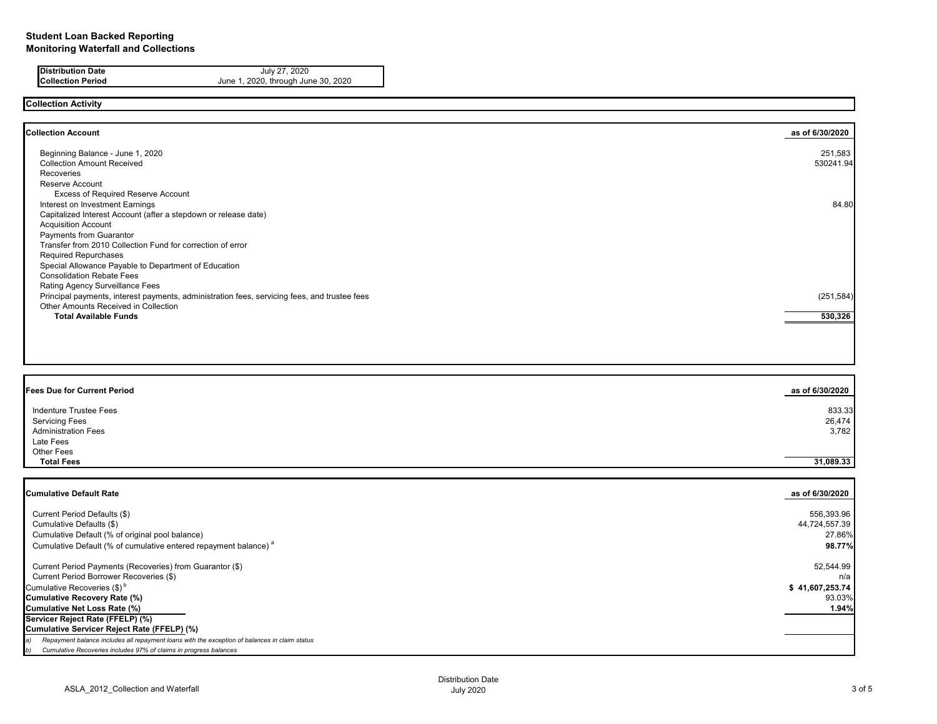**Distribution Date** July 27, 2020<br> **Collection Period** June 1, 2020, through Jur

### **Collection Activity**

**Collection Account as of 6/30/2020** Beginning Balance - June 1, 2020 Collection Amount Received Recoveries Reserve Account Excess of Required Reserve Account Interest on Investment Earnings Capitalized Interest Account (after a stepdown or release date) Acquisition Account Payments from Guarantor Transfer from 2010 Collection Fund for correction of error Required Repurchases Special Allowance Payable to Department of Education Consolidation Rebate Fees Rating Agency Surveillance Fees Principal payments, interest payments, administration fees, servicing fees, and trustee fees Other Amounts Received in Collection<br> **Total Available Funds Total Available Funds 530,326**

 Current Period Defaults (\$) 556,393.96 Cumulative Defaults (\$) 44,724,557.39 Cumulative Default (% of original pool balance) 27.86% Cumulative Default (% of cumulative entered repayment balance)<sup>a</sup> 98.77%

### **Fees Due for Current Period as of 6/30/2020**

| Indenture Trustee Fees<br><b>Servicing Fees</b><br><b>Administration Fees</b><br>Late Fees<br>Other Fees | 833.33<br>26,474<br>3,782 |
|----------------------------------------------------------------------------------------------------------|---------------------------|
| <b>Total Fees</b>                                                                                        | 31,089.33                 |

### **Cumulative Default Rate as of 6/30/2020**

 Current Period Payments (Recoveries) from Guarantor (\$) 52,544.99 Current Period Borrower Recoveries  $(\$)$  n/a Cumulative Recoveries  $(\$)^{\text{b}}$   $\$$  41,607,253.74 **Cumulative Recovery Rate (%)** 93.03% **Cumulative Net Loss Rate (%) 1.94% Servicer Reject Rate (FFELP) (%) Cumulative Servicer Reject Rate (FFELP) (%)** *a) Repayment balance includes all repayment loans with the exception of balances in claim status*

*b) Cumulative Recoveries includes 97% of claims in progress balances*

**Collection Period** June 1, 2020, through June 30, 2020

| as of 6/30/2020      |
|----------------------|
| 251,583<br>530241.94 |
| 84.80                |
|                      |
|                      |
| (251, 584)           |
| 530,326              |
|                      |
|                      |
|                      |
|                      |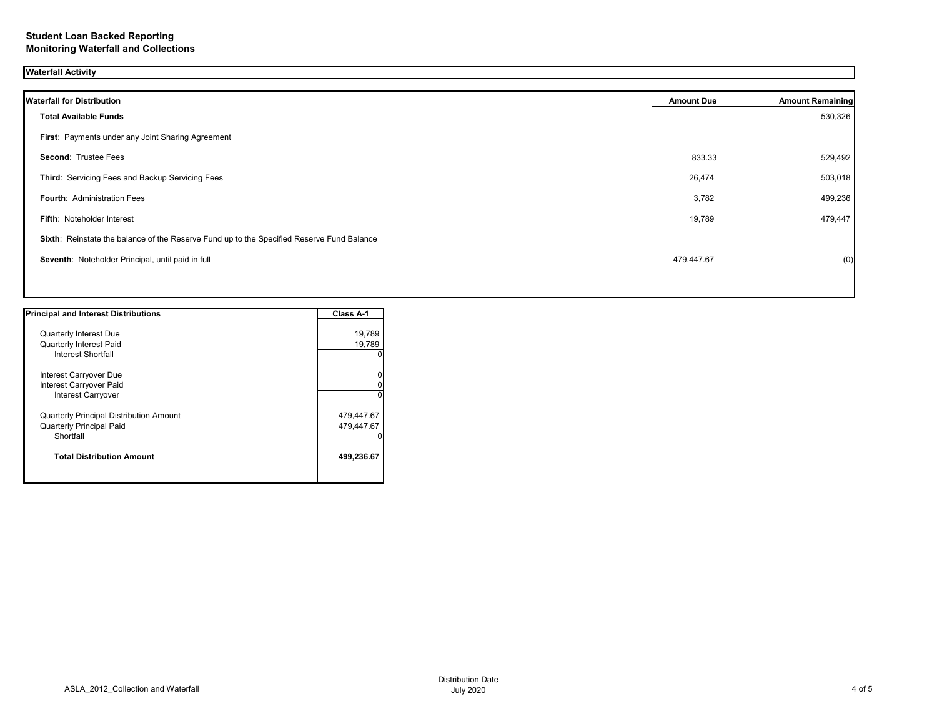# **Waterfall Activity**

| <b>Waterfall for Distribution</b>                                                         | <b>Amount Due</b> | <b>Amount Remaining</b> |
|-------------------------------------------------------------------------------------------|-------------------|-------------------------|
| <b>Total Available Funds</b>                                                              |                   | 530,326                 |
| First: Payments under any Joint Sharing Agreement                                         |                   |                         |
| <b>Second: Trustee Fees</b>                                                               | 833.33            | 529,492                 |
| Third: Servicing Fees and Backup Servicing Fees                                           | 26,474            | 503,018                 |
| <b>Fourth: Administration Fees</b>                                                        | 3,782             | 499,236                 |
| Fifth: Noteholder Interest                                                                | 19,789            | 479,447                 |
| Sixth: Reinstate the balance of the Reserve Fund up to the Specified Reserve Fund Balance |                   |                         |
| Seventh: Noteholder Principal, until paid in full                                         | 479,447.67        | (0)                     |
|                                                                                           |                   |                         |

| <b>Principal and Interest Distributions</b> | Class A-1  |
|---------------------------------------------|------------|
| <b>Quarterly Interest Due</b>               | 19,789     |
| <b>Quarterly Interest Paid</b>              | 19,789     |
| Interest Shortfall                          |            |
| Interest Carryover Due                      |            |
| Interest Carryover Paid                     |            |
| Interest Carryover                          |            |
| Quarterly Principal Distribution Amount     | 479,447.67 |
| <b>Quarterly Principal Paid</b>             | 479,447.67 |
| Shortfall                                   |            |
| <b>Total Distribution Amount</b>            | 499,236.67 |
|                                             |            |